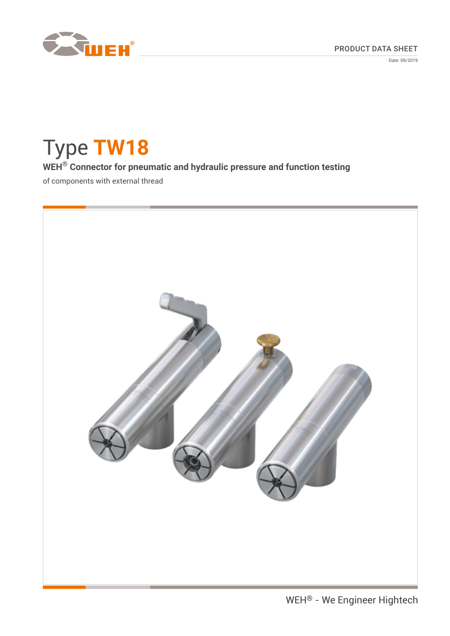

Date: 09/2019

# Type **TW18 WEH® Connector for pneumatic and hydraulic pressure and function testing** of components with external thread

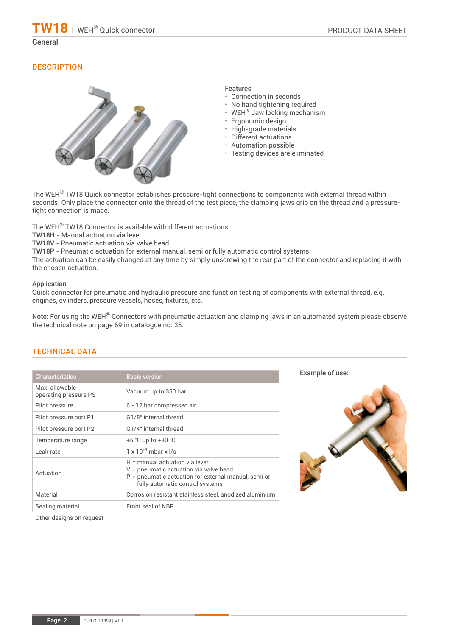#### General

# **DESCRIPTION**



## Features

- Connection in seconds
- No hand tightening required
- WEH® Jaw locking mechanism
- Ergonomic design
- High-grade materials
- Different actuations
- Automation possible
- Testing devices are eliminated

The WEH<sup>®</sup> TW18 Quick connector establishes pressure-tight connections to components with external thread within seconds. Only place the connector onto the thread of the test piece, the clamping jaws grip on the thread and a pressuretight connection is made.

The WEH® TW18 Connector is available with different actuations:

TW18H - Manual actuation via lever

TW18V - Pneumatic actuation via valve head

TW18P - Pneumatic actuation for external manual, semi or fully automatic control systems

The actuation can be easily changed at any time by simply unscrewing the rear part of the connector and replacing it with the chosen actuation.

#### Application

Quick connector for pneumatic and hydraulic pressure and function testing of components with external thread, e.g. engines, cylinders, pressure vessels, hoses, fixtures, etc.

Note: For using the WEH® Connectors with pneumatic actuation and clamping jaws in an automated system please observe the technical note on page 69 in catalogue no. 35.

# TECHNICAL DATA

| <b>Characteristics</b>                 | <b>Basic version</b>                                                                                                                                                      |
|----------------------------------------|---------------------------------------------------------------------------------------------------------------------------------------------------------------------------|
| Max allowable<br>operating pressure PS | Vacuum up to 350 bar                                                                                                                                                      |
| Pilot pressure                         | 6 - 12 bar compressed air                                                                                                                                                 |
| Pilot pressure port P1                 | G1/8" internal thread                                                                                                                                                     |
| Pilot pressure port P2                 | G1/4" internal thread                                                                                                                                                     |
| Temperature range                      | $+5$ °C up to $+80$ °C                                                                                                                                                    |
| Leak rate                              | $1 \times 10^{-3}$ mbar x $1/s$                                                                                                                                           |
| Actuation                              | $H =$ manual actuation via lever<br>$V =$ pneumatic actuation via valve head<br>$P =$ pneumatic actuation for external manual, semi or<br>fully automatic control systems |
| Material                               | Corrosion resistant stainless steel, anodized aluminium                                                                                                                   |
| Sealing material                       | Front seal of NBR                                                                                                                                                         |

Example of use:



Other designs on request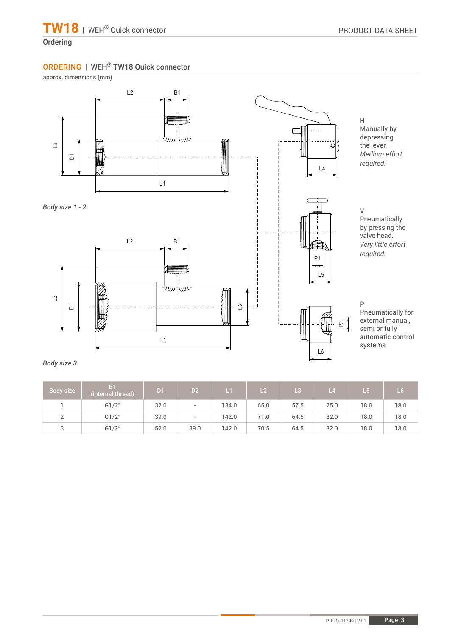# Ordering

# ORDERING | WEH® TW18 Quick connector

approx. dimensions (mm)



# *Body size 3*

| Body size | B1<br>(internal thread) | D <sub>1</sub> | D <sub>2</sub>           | $\mathbf{L}$ | 12 <sup>1</sup> | L3   | L <sub>4</sub> | L5   | L6   |
|-----------|-------------------------|----------------|--------------------------|--------------|-----------------|------|----------------|------|------|
|           | G1/2"                   | 32.0           | $\overline{\phantom{a}}$ | 134.0        | 65.0            | 57.5 | 25.0           | 18.0 | 18.0 |
|           | G1/2"                   | 39.0           | $\overline{\phantom{0}}$ | 142.0        | 71.0            | 64.5 | 32.0           | 18.0 | 18.0 |
|           | G1/2"                   | 52.0           | 39.0                     | 142.0        | 70.5            | 64.5 | 32.0           | 18.0 | 18.0 |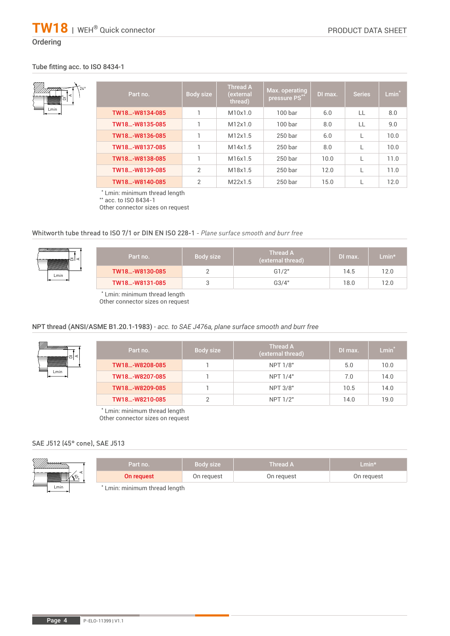# **Ordering**

Lmin

## Tube fitting acc. to ISO 8434-1

A

DI

| $\star_{24}$ | Part no.       | Body size      | <b>Thread A</b><br>(external<br>thread) | Max. operating<br>pressure PS** | DI max. | <b>Series</b> | $Lmin*$ |
|--------------|----------------|----------------|-----------------------------------------|---------------------------------|---------|---------------|---------|
|              | TW18-W8134-085 |                | M10x1.0                                 | 100 <sub>bar</sub>              | 6.0     | LL            | 8.0     |
|              | TW18-W8135-085 |                | M12x1.0                                 | 100 <sub>bar</sub>              | 8.0     | $\mathbf{L}$  | 9.0     |
|              | TW18-W8136-085 |                | M12x1.5                                 | 250 bar                         | 6.0     |               | 10.0    |
|              | TW18-W8137-085 |                | M14x1.5                                 | 250 bar                         | 8.0     |               | 10.0    |
|              | TW18-W8138-085 |                | M16x1.5                                 | 250 bar                         | 10.0    |               | 11.0    |
|              | TW18-W8139-085 | $\overline{2}$ | M18x1.5                                 | 250 bar                         | 12.0    |               | 11.0    |
|              | TW18-W8140-085 | $\overline{2}$ | M22x1.5                                 | 250 bar                         | 15.0    |               | 12.0    |

\* Lmin: minimum thread length

\*\* acc. to ISO 8434-1

Other connector sizes on request

#### Whitworth tube thread to ISO 7/1 or DIN EN ISO 228-1 *- Plane surface smooth and burr free*



\* Lmin: minimum thread length Other connector sizes on request

## NPT thread (ANSI/ASME B1.20.1-1983) *- acc. to SAE J476a, plane surface smooth and burr free*

| M <del>HHHHHHA</del> | Part no.       | Body size | <b>Thread A</b><br>(external thread) | DI max. | $Lmin*$ |
|----------------------|----------------|-----------|--------------------------------------|---------|---------|
|                      | TW18-W8208-085 |           | NPT 1/8"                             | 5.0     | 10.0    |
| Lmin                 | TW18-W8207-085 |           | <b>NPT 1/4"</b>                      | 7.0     | 14.0    |
|                      | TW18-W8209-085 |           | NPT 3/8"                             | 10.5    | 14.0    |
|                      | TW18-W8210-085 |           | <b>NPT 1/2"</b>                      | 14.0    | 19.0    |

\* Lmin: minimum thread length Other connector sizes on request

#### SAE J512 (45° cone), SAE J513

| <i>VIIIII</i> | Part no.                    | Body size  | <b>Thread A</b> | ${\sf Lmin}^{\star}$ |
|---------------|-----------------------------|------------|-----------------|----------------------|
| WWWW          | On request                  | On request | On request      | On reguest           |
| Lmin          | Lmin: minimum thread length |            |                 |                      |

Lmin: minimum thread length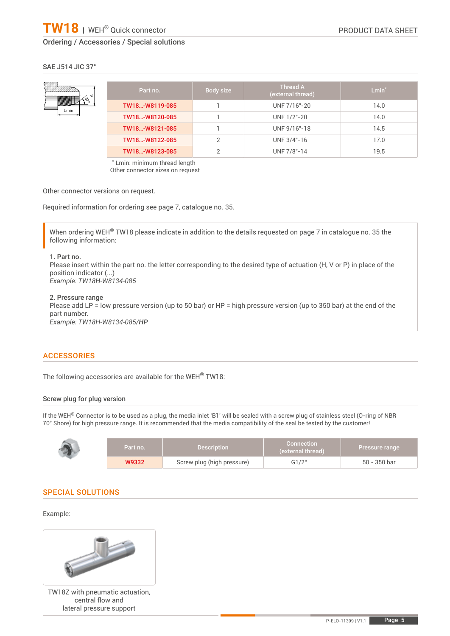#### SAE J514 JIC 37°



| Part no.       | Body size | <b>Thread A</b><br>(external thread) | Lmin $\hbox{}^*$ |
|----------------|-----------|--------------------------------------|------------------|
| TW18-W8119-085 |           | UNF 7/16"-20                         | 14.0             |
| TW18-W8120-085 |           | UNF 1/2"-20                          | 14.0             |
| TW18-W8121-085 |           | UNF 9/16"-18                         | 14.5             |
| TW18-W8122-085 | っ         | UNF 3/4"-16                          | 17.0             |
| TW18-W8123-085 | ◠         | UNF 7/8"-14                          | 19.5             |

\* Lmin: minimum thread length Other connector sizes on request

Other connector versions on request.

Required information for ordering see page 7, catalogue no. 35.

When ordering WEH<sup>®</sup> TW18 please indicate in addition to the details requested on page 7 in catalogue no. 35 the following information:

#### 1. Part no.

Please insert within the part no. the letter corresponding to the desired type of actuation (H, V or P) in place of the position indicator (...) *Example: TW18H-W8134-085*

2. Pressure range

Please add LP = low pressure version (up to 50 bar) or HP = high pressure version (up to 350 bar) at the end of the part number. *Example: TW18H-W8134-085/HP*

# ACCESSORIES

The following accessories are available for the WEH® TW18:

#### Screw plug for plug version

If the WEH<sup>®</sup> Connector is to be used as a plug, the media inlet 'B1' will be sealed with a screw plug of stainless steel (O-ring of NBR 70° Shore) for high pressure range. It is recommended that the media compatibility of the seal be tested by the customer!

| Part no. | <b>Description</b>         | <b>Connection</b><br>(external thread) |              |
|----------|----------------------------|----------------------------------------|--------------|
| W9332    | Screw plug (high pressure) | G1/2"                                  | 50 - 350 bar |

# SPECIAL SOLUTIONS

#### Example:



TW18Z with pneumatic actuation, central flow and lateral pressure support